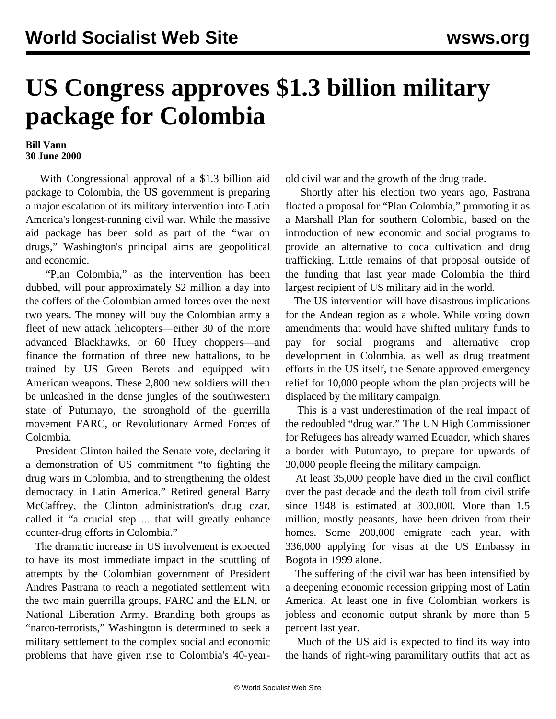## **US Congress approves \$1.3 billion military package for Colombia**

## **Bill Vann 30 June 2000**

 With Congressional approval of a \$1.3 billion aid package to Colombia, the US government is preparing a major escalation of its military intervention into Latin America's longest-running civil war. While the massive aid package has been sold as part of the "war on drugs," Washington's principal aims are geopolitical and economic.

 "Plan Colombia," as the intervention has been dubbed, will pour approximately \$2 million a day into the coffers of the Colombian armed forces over the next two years. The money will buy the Colombian army a fleet of new attack helicopters—either 30 of the more advanced Blackhawks, or 60 Huey choppers—and finance the formation of three new battalions, to be trained by US Green Berets and equipped with American weapons. These 2,800 new soldiers will then be unleashed in the dense jungles of the southwestern state of Putumayo, the stronghold of the guerrilla movement FARC, or Revolutionary Armed Forces of Colombia.

 President Clinton hailed the Senate vote, declaring it a demonstration of US commitment "to fighting the drug wars in Colombia, and to strengthening the oldest democracy in Latin America." Retired general Barry McCaffrey, the Clinton administration's drug czar, called it "a crucial step ... that will greatly enhance counter-drug efforts in Colombia."

 The dramatic increase in US involvement is expected to have its most immediate impact in the scuttling of attempts by the Colombian government of President Andres Pastrana to reach a negotiated settlement with the two main guerrilla groups, FARC and the ELN, or National Liberation Army. Branding both groups as "narco-terrorists," Washington is determined to seek a military settlement to the complex social and economic problems that have given rise to Colombia's 40-yearold civil war and the growth of the drug trade.

 Shortly after his election two years ago, Pastrana floated a proposal for "Plan Colombia," promoting it as a Marshall Plan for southern Colombia, based on the introduction of new economic and social programs to provide an alternative to coca cultivation and drug trafficking. Little remains of that proposal outside of the funding that last year made Colombia the third largest recipient of US military aid in the world.

 The US intervention will have disastrous implications for the Andean region as a whole. While voting down amendments that would have shifted military funds to pay for social programs and alternative crop development in Colombia, as well as drug treatment efforts in the US itself, the Senate approved emergency relief for 10,000 people whom the plan projects will be displaced by the military campaign.

 This is a vast underestimation of the real impact of the redoubled "drug war." The UN High Commissioner for Refugees has already warned Ecuador, which shares a border with Putumayo, to prepare for upwards of 30,000 people fleeing the military campaign.

 At least 35,000 people have died in the civil conflict over the past decade and the death toll from civil strife since 1948 is estimated at 300,000. More than 1.5 million, mostly peasants, have been driven from their homes. Some 200,000 emigrate each year, with 336,000 applying for visas at the US Embassy in Bogota in 1999 alone.

 The suffering of the civil war has been intensified by a deepening economic recession gripping most of Latin America. At least one in five Colombian workers is jobless and economic output shrank by more than 5 percent last year.

 Much of the US aid is expected to find its way into the hands of right-wing paramilitary outfits that act as